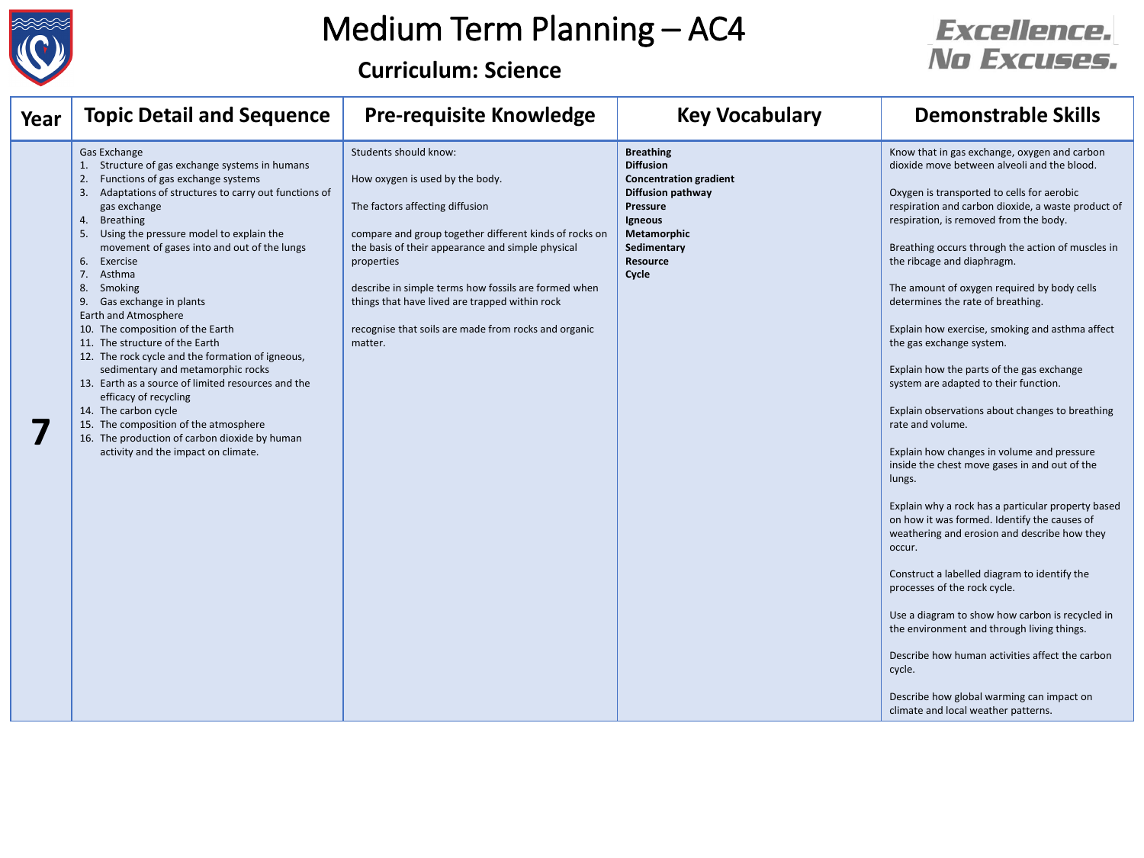

# Medium Term Planning – AC4

**Curriculum: Science**

| Year | <b>Topic Detail and Sequence</b>                                                                                                                                                                                                                                                                                                                                                                                                                                                                                                                                                                                                                                                                                                                                                                              | <b>Pre-requisite Knowledge</b>                                                                                                                                                                                                                                                                                                                                                                        | <b>Key Vocabulary</b>                                                                                                                                                                            | <b>Demonstrable Skills</b>                                                                                                                                                                                                                                                                                                                                                                                                                                                                                                                                                                                                                                                                                                                                                                                                                                                                                                                                                                                                                                                                                                                                                                                                                                              |
|------|---------------------------------------------------------------------------------------------------------------------------------------------------------------------------------------------------------------------------------------------------------------------------------------------------------------------------------------------------------------------------------------------------------------------------------------------------------------------------------------------------------------------------------------------------------------------------------------------------------------------------------------------------------------------------------------------------------------------------------------------------------------------------------------------------------------|-------------------------------------------------------------------------------------------------------------------------------------------------------------------------------------------------------------------------------------------------------------------------------------------------------------------------------------------------------------------------------------------------------|--------------------------------------------------------------------------------------------------------------------------------------------------------------------------------------------------|-------------------------------------------------------------------------------------------------------------------------------------------------------------------------------------------------------------------------------------------------------------------------------------------------------------------------------------------------------------------------------------------------------------------------------------------------------------------------------------------------------------------------------------------------------------------------------------------------------------------------------------------------------------------------------------------------------------------------------------------------------------------------------------------------------------------------------------------------------------------------------------------------------------------------------------------------------------------------------------------------------------------------------------------------------------------------------------------------------------------------------------------------------------------------------------------------------------------------------------------------------------------------|
|      | Gas Exchange<br>Structure of gas exchange systems in humans<br>Functions of gas exchange systems<br>2.<br>Adaptations of structures to carry out functions of<br>gas exchange<br><b>Breathing</b><br>4.<br>Using the pressure model to explain the<br>movement of gases into and out of the lungs<br>Exercise<br>6.<br>7.<br>Asthma<br>Smoking<br>8.<br>Gas exchange in plants<br>Earth and Atmosphere<br>10. The composition of the Earth<br>11. The structure of the Earth<br>12. The rock cycle and the formation of igneous,<br>sedimentary and metamorphic rocks<br>13. Earth as a source of limited resources and the<br>efficacy of recycling<br>14. The carbon cycle<br>15. The composition of the atmosphere<br>16. The production of carbon dioxide by human<br>activity and the impact on climate. | Students should know:<br>How oxygen is used by the body.<br>The factors affecting diffusion<br>compare and group together different kinds of rocks on<br>the basis of their appearance and simple physical<br>properties<br>describe in simple terms how fossils are formed when<br>things that have lived are trapped within rock<br>recognise that soils are made from rocks and organic<br>matter. | <b>Breathing</b><br><b>Diffusion</b><br><b>Concentration gradient</b><br><b>Diffusion pathway</b><br><b>Pressure</b><br>Igneous<br><b>Metamorphic</b><br>Sedimentary<br><b>Resource</b><br>Cycle | Know that in gas exchange, oxygen and carbon<br>dioxide move between alveoli and the blood.<br>Oxygen is transported to cells for aerobic<br>respiration and carbon dioxide, a waste product of<br>respiration, is removed from the body.<br>Breathing occurs through the action of muscles in<br>the ribcage and diaphragm.<br>The amount of oxygen required by body cells<br>determines the rate of breathing.<br>Explain how exercise, smoking and asthma affect<br>the gas exchange system.<br>Explain how the parts of the gas exchange<br>system are adapted to their function.<br>Explain observations about changes to breathing<br>rate and volume.<br>Explain how changes in volume and pressure<br>inside the chest move gases in and out of the<br>lungs.<br>Explain why a rock has a particular property based<br>on how it was formed. Identify the causes of<br>weathering and erosion and describe how they<br>occur.<br>Construct a labelled diagram to identify the<br>processes of the rock cycle.<br>Use a diagram to show how carbon is recycled in<br>the environment and through living things.<br>Describe how human activities affect the carbon<br>cycle.<br>Describe how global warming can impact on<br>climate and local weather patterns. |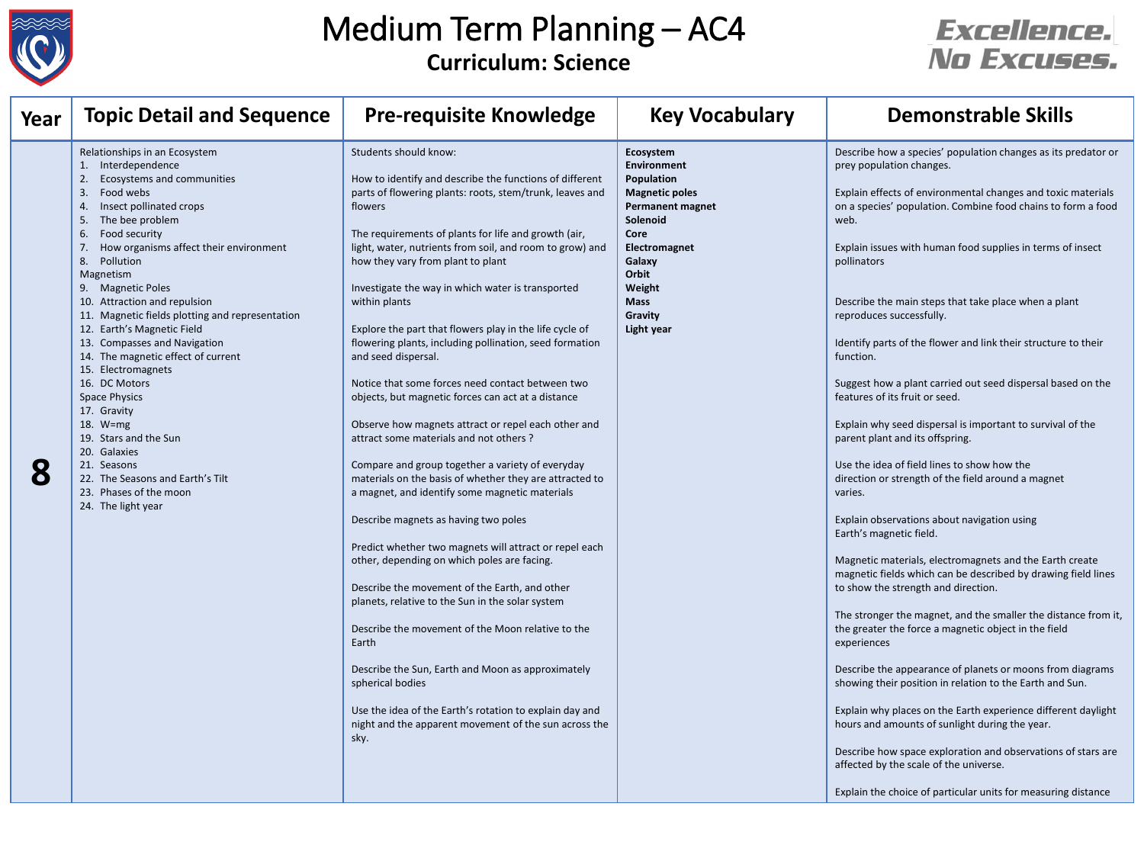

### Medium Term Planning – AC4 **Curriculum: Science**

| Year | <b>Topic Detail and Sequence</b>                                                                                                                                                                                                                                                                                                                                                                                                                                                                                                                                                                                                                                                                                     | <b>Pre-requisite Knowledge</b>                                                                                                                                                                                                                                                                                                                                                                                                                                                                                                                                                                                                                                                                                                                                                                                                                                                                                                                                                                                                                                                                                                                                                                                                                                                                                                                                                                                                           | <b>Key Vocabulary</b>                                                                                                                                                                                       | <b>Demonstrable Skills</b>                                                                                                                                                                                                                                                                                                                                                                                                                                                                                                                                                                                                                                                                                                                                                                                                                                                                                                                                                                                                                                                                                                                                                                                                                                                                                                                                                                                                                                                                                                                                                                                       |
|------|----------------------------------------------------------------------------------------------------------------------------------------------------------------------------------------------------------------------------------------------------------------------------------------------------------------------------------------------------------------------------------------------------------------------------------------------------------------------------------------------------------------------------------------------------------------------------------------------------------------------------------------------------------------------------------------------------------------------|------------------------------------------------------------------------------------------------------------------------------------------------------------------------------------------------------------------------------------------------------------------------------------------------------------------------------------------------------------------------------------------------------------------------------------------------------------------------------------------------------------------------------------------------------------------------------------------------------------------------------------------------------------------------------------------------------------------------------------------------------------------------------------------------------------------------------------------------------------------------------------------------------------------------------------------------------------------------------------------------------------------------------------------------------------------------------------------------------------------------------------------------------------------------------------------------------------------------------------------------------------------------------------------------------------------------------------------------------------------------------------------------------------------------------------------|-------------------------------------------------------------------------------------------------------------------------------------------------------------------------------------------------------------|------------------------------------------------------------------------------------------------------------------------------------------------------------------------------------------------------------------------------------------------------------------------------------------------------------------------------------------------------------------------------------------------------------------------------------------------------------------------------------------------------------------------------------------------------------------------------------------------------------------------------------------------------------------------------------------------------------------------------------------------------------------------------------------------------------------------------------------------------------------------------------------------------------------------------------------------------------------------------------------------------------------------------------------------------------------------------------------------------------------------------------------------------------------------------------------------------------------------------------------------------------------------------------------------------------------------------------------------------------------------------------------------------------------------------------------------------------------------------------------------------------------------------------------------------------------------------------------------------------------|
| 8    | Relationships in an Ecosystem<br>1. Interdependence<br>2.<br>Ecosystems and communities<br>Food webs<br>3.<br>Insect pollinated crops<br>4.<br>The bee problem<br>5.<br>Food security<br>6.<br>How organisms affect their environment<br>8. Pollution<br>Magnetism<br>9. Magnetic Poles<br>10. Attraction and repulsion<br>11. Magnetic fields plotting and representation<br>12. Earth's Magnetic Field<br>13. Compasses and Navigation<br>14. The magnetic effect of current<br>15. Electromagnets<br>16. DC Motors<br><b>Space Physics</b><br>17. Gravity<br>18. W=mg<br>19. Stars and the Sun<br>20. Galaxies<br>21. Seasons<br>22. The Seasons and Earth's Tilt<br>23. Phases of the moon<br>24. The light year | Students should know:<br>How to identify and describe the functions of different<br>parts of flowering plants: roots, stem/trunk, leaves and<br>flowers<br>The requirements of plants for life and growth (air,<br>light, water, nutrients from soil, and room to grow) and<br>how they vary from plant to plant<br>Investigate the way in which water is transported<br>within plants<br>Explore the part that flowers play in the life cycle of<br>flowering plants, including pollination, seed formation<br>and seed dispersal.<br>Notice that some forces need contact between two<br>objects, but magnetic forces can act at a distance<br>Observe how magnets attract or repel each other and<br>attract some materials and not others?<br>Compare and group together a variety of everyday<br>materials on the basis of whether they are attracted to<br>a magnet, and identify some magnetic materials<br>Describe magnets as having two poles<br>Predict whether two magnets will attract or repel each<br>other, depending on which poles are facing.<br>Describe the movement of the Earth, and other<br>planets, relative to the Sun in the solar system<br>Describe the movement of the Moon relative to the<br>Earth<br>Describe the Sun, Earth and Moon as approximately<br>spherical bodies<br>Use the idea of the Earth's rotation to explain day and<br>night and the apparent movement of the sun across the<br>sky. | Ecosystem<br><b>Environment</b><br>Population<br><b>Magnetic poles</b><br><b>Permanent magnet</b><br>Solenoid<br>Core<br>Electromagnet<br>Galaxy<br>Orbit<br>Weight<br><b>Mass</b><br>Gravity<br>Light year | Describe how a species' population changes as its predator or<br>prey population changes.<br>Explain effects of environmental changes and toxic materials<br>on a species' population. Combine food chains to form a food<br>web.<br>Explain issues with human food supplies in terms of insect<br>pollinators<br>Describe the main steps that take place when a plant<br>reproduces successfully.<br>Identify parts of the flower and link their structure to their<br>function.<br>Suggest how a plant carried out seed dispersal based on the<br>features of its fruit or seed.<br>Explain why seed dispersal is important to survival of the<br>parent plant and its offspring.<br>Use the idea of field lines to show how the<br>direction or strength of the field around a magnet<br>varies.<br>Explain observations about navigation using<br>Earth's magnetic field.<br>Magnetic materials, electromagnets and the Earth create<br>magnetic fields which can be described by drawing field lines<br>to show the strength and direction.<br>The stronger the magnet, and the smaller the distance from it,<br>the greater the force a magnetic object in the field<br>experiences<br>Describe the appearance of planets or moons from diagrams<br>showing their position in relation to the Earth and Sun.<br>Explain why places on the Earth experience different daylight<br>hours and amounts of sunlight during the year.<br>Describe how space exploration and observations of stars are<br>affected by the scale of the universe.<br>Explain the choice of particular units for measuring distance |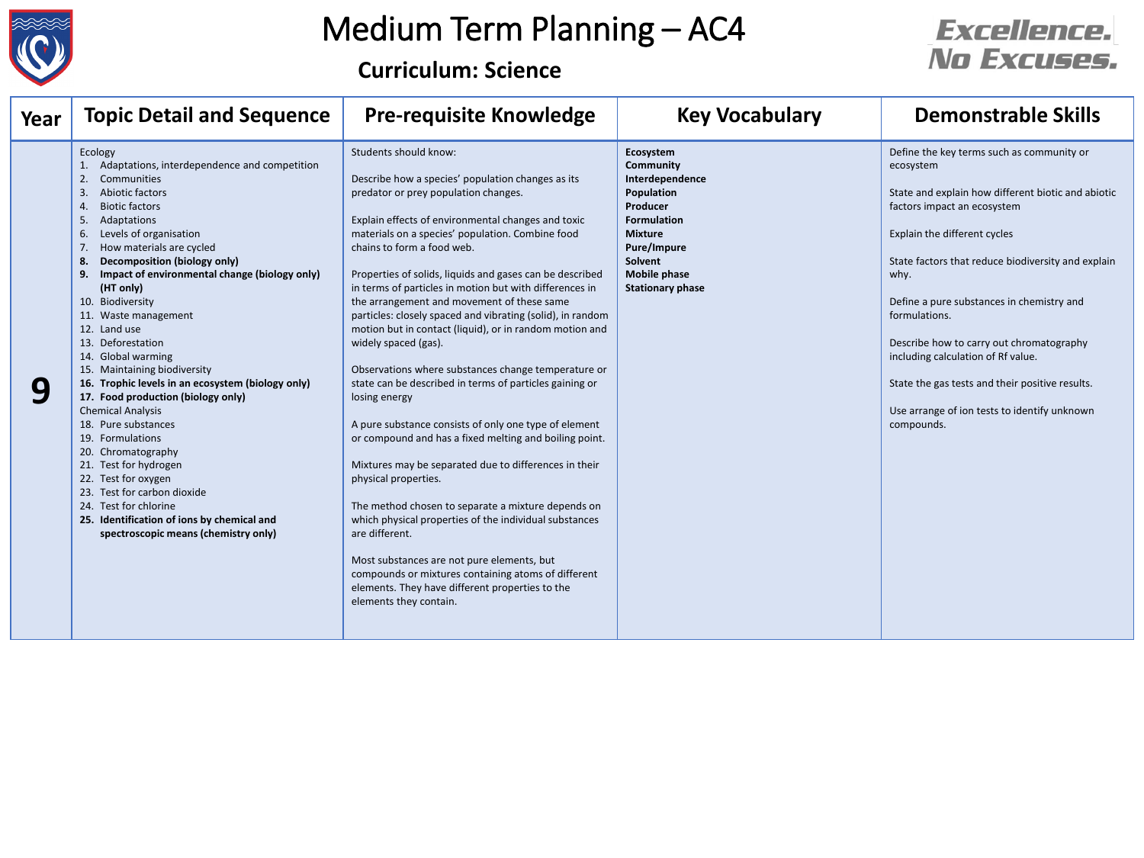

# Medium Term Planning – AC4

**Curriculum: Science**

| Year | <b>Topic Detail and Sequence</b>                                                                                                                                                                                                                                                                                                                                                                                                                                                                                                                                                                                                                                                                                                                                                                                                                                             | <b>Pre-requisite Knowledge</b>                                                                                                                                                                                                                                                                                                                                                                                                                                                                                                                                                                                                                                                                                                                                                                                                                                                                                                                                                                                                                                                                                                                                                                                                              | <b>Key Vocabulary</b>                                                                                                                                                                                 | <b>Demonstrable Skills</b>                                                                                                                                                                                                                                                                                                                                                                                                                                                                                 |
|------|------------------------------------------------------------------------------------------------------------------------------------------------------------------------------------------------------------------------------------------------------------------------------------------------------------------------------------------------------------------------------------------------------------------------------------------------------------------------------------------------------------------------------------------------------------------------------------------------------------------------------------------------------------------------------------------------------------------------------------------------------------------------------------------------------------------------------------------------------------------------------|---------------------------------------------------------------------------------------------------------------------------------------------------------------------------------------------------------------------------------------------------------------------------------------------------------------------------------------------------------------------------------------------------------------------------------------------------------------------------------------------------------------------------------------------------------------------------------------------------------------------------------------------------------------------------------------------------------------------------------------------------------------------------------------------------------------------------------------------------------------------------------------------------------------------------------------------------------------------------------------------------------------------------------------------------------------------------------------------------------------------------------------------------------------------------------------------------------------------------------------------|-------------------------------------------------------------------------------------------------------------------------------------------------------------------------------------------------------|------------------------------------------------------------------------------------------------------------------------------------------------------------------------------------------------------------------------------------------------------------------------------------------------------------------------------------------------------------------------------------------------------------------------------------------------------------------------------------------------------------|
|      | Ecology<br>1. Adaptations, interdependence and competition<br>Communities<br>2.<br>Abiotic factors<br>3.<br><b>Biotic factors</b><br>4.<br>Adaptations<br>5.<br>Levels of organisation<br>6.<br>How materials are cycled<br>7.<br><b>Decomposition (biology only)</b><br>8.<br>Impact of environmental change (biology only)<br>9.<br>(HT only)<br>10. Biodiversity<br>11. Waste management<br>12. Land use<br>13. Deforestation<br>14. Global warming<br>15. Maintaining biodiversity<br>16. Trophic levels in an ecosystem (biology only)<br>17. Food production (biology only)<br><b>Chemical Analysis</b><br>18. Pure substances<br>19. Formulations<br>20. Chromatography<br>21. Test for hydrogen<br>22. Test for oxygen<br>23. Test for carbon dioxide<br>24. Test for chlorine<br>25. Identification of ions by chemical and<br>spectroscopic means (chemistry only) | Students should know:<br>Describe how a species' population changes as its<br>predator or prey population changes.<br>Explain effects of environmental changes and toxic<br>materials on a species' population. Combine food<br>chains to form a food web.<br>Properties of solids, liquids and gases can be described<br>in terms of particles in motion but with differences in<br>the arrangement and movement of these same<br>particles: closely spaced and vibrating (solid), in random<br>motion but in contact (liquid), or in random motion and<br>widely spaced (gas).<br>Observations where substances change temperature or<br>state can be described in terms of particles gaining or<br>losing energy<br>A pure substance consists of only one type of element<br>or compound and has a fixed melting and boiling point.<br>Mixtures may be separated due to differences in their<br>physical properties.<br>The method chosen to separate a mixture depends on<br>which physical properties of the individual substances<br>are different.<br>Most substances are not pure elements, but<br>compounds or mixtures containing atoms of different<br>elements. They have different properties to the<br>elements they contain. | Ecosystem<br><b>Community</b><br>Interdependence<br>Population<br>Producer<br><b>Formulation</b><br><b>Mixture</b><br><b>Pure/Impure</b><br>Solvent<br><b>Mobile phase</b><br><b>Stationary phase</b> | Define the key terms such as community or<br>ecosystem<br>State and explain how different biotic and abiotic<br>factors impact an ecosystem<br>Explain the different cycles<br>State factors that reduce biodiversity and explain<br>why.<br>Define a pure substances in chemistry and<br>formulations.<br>Describe how to carry out chromatography<br>including calculation of Rf value.<br>State the gas tests and their positive results.<br>Use arrange of ion tests to identify unknown<br>compounds. |